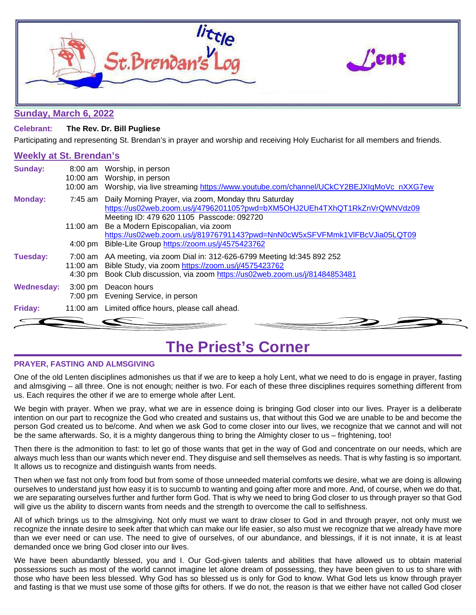

### **Sunday, March 6, 2022**

### **Celebrant: The Rev. Dr. Bill Pugliese**

Participating and representing St. Brendan's in prayer and worship and receiving Holy Eucharist for all members and friends.

### **Weekly at St. Brendan's**

| <b>Sunday:</b>    | 8:00 am Worship, in person<br>10:00 am Worship, in person<br>10:00 am Worship, via live streaming https://www.youtube.com/channel/UCkCY2BEJXIqMoVc nXXG7ew                                                               |
|-------------------|--------------------------------------------------------------------------------------------------------------------------------------------------------------------------------------------------------------------------|
| <b>Monday:</b>    | 7:45 am Daily Morning Prayer, via zoom, Monday thru Saturday<br>https://us02web.zoom.us/j/4796201105?pwd=bXM5OHJ2UEh4TXhQT1RkZnVrQWNVdz09<br>Meeting ID: 479 620 1105 Passcode: 092720                                   |
|                   | 11:00 am Be a Modern Episcopalian, via zoom                                                                                                                                                                              |
|                   | https://us02web.zoom.us/j/81976791143?pwd=NnN0cW5xSFVFMmk1VIFBcVJia05LQT09                                                                                                                                               |
|                   | 4:00 pm Bible-Lite Group https://zoom.us/j/4575423762                                                                                                                                                                    |
| Tuesday:          | 7:00 am AA meeting, via zoom Dial in: 312-626-6799 Meeting Id:345 892 252<br>11:00 am Bible Study, via zoom https://zoom.us/j/4575423762<br>4:30 pm Book Club discussion, via zoom https://us02web.zoom.us/j/81484853481 |
| <b>Wednesday:</b> | 3:00 pm Deacon hours<br>7:00 pm Evening Service, in person                                                                                                                                                               |
| Friday:           | 11:00 am Limited office hours, please call ahead.                                                                                                                                                                        |
|                   |                                                                                                                                                                                                                          |

### **The Priest's Corner**

### **PRAYER, FASTING AND ALMSGIVING**

One of the old Lenten disciplines admonishes us that if we are to keep a holy Lent, what we need to do is engage in prayer, fasting and almsgiving – all three. One is not enough; neither is two. For each of these three disciplines requires something different from us. Each requires the other if we are to emerge whole after Lent.

We begin with prayer. When we pray, what we are in essence doing is bringing God closer into our lives. Prayer is a deliberate intention on our part to recognize the God who created and sustains us, that without this God we are unable to be and become the person God created us to be/come. And when we ask God to come closer into our lives, we recognize that we cannot and will not be the same afterwards. So, it is a mighty dangerous thing to bring the Almighty closer to us – frightening, too!

Then there is the admonition to fast: to let go of those wants that get in the way of God and concentrate on our needs, which are always much less than our wants which never end. They disguise and sell themselves as needs. That is why fasting is so important. It allows us to recognize and distinguish wants from needs.

Then when we fast not only from food but from some of those unneeded material comforts we desire, what we are doing is allowing ourselves to understand just how easy it is to succumb to wanting and going after more and more. And, of course, when we do that, we are separating ourselves further and further form God. That is why we need to bring God closer to us through prayer so that God will give us the ability to discern wants from needs and the strength to overcome the call to selfishness.

All of which brings us to the almsgiving. Not only must we want to draw closer to God in and through prayer, not only must we recognize the innate desire to seek after that which can make our life easier, so also must we recognize that we already have more than we ever need or can use. The need to give of ourselves, of our abundance, and blessings, if it is not innate, it is at least demanded once we bring God closer into our lives.

We have been abundantly blessed, you and I. Our God-given talents and abilities that have allowed us to obtain material possessions such as most of the world cannot imagine let alone dream of possessing, they have been given to us to share with those who have been less blessed. Why God has so blessed us is only for God to know. What God lets us know through prayer and fasting is that we must use some of those gifts for others. If we do not, the reason is that we either have not called God closer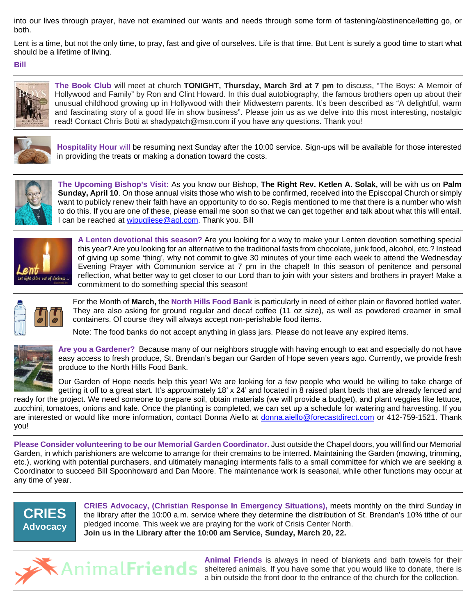into our lives through prayer, have not examined our wants and needs through some form of fastening/abstinence/letting go, or both.

Lent is a time, but not the only time, to pray, fast and give of ourselves. Life is that time. But Lent is surely a good time to start what should be a lifetime of living.

**Bill**



**The Book Club** will meet at church **TONIGHT, Thursday, March 3rd at 7 pm** to discuss, "The Boys: A Memoir of Hollywood and Family" by Ron and Clint Howard. In this dual autobiography, the famous brothers open up about their unusual childhood growing up in Hollywood with their Midwestern parents. It's been described as "A delightful, warm and fascinating story of a good life in show business". Please join us as we delve into this most interesting, nostalgic read! Contact Chris Botti at shadypatch@msn.com if you have any questions. Thank you!



**Hospitality Hour** will be resuming next Sunday after the 10:00 service. Sign-ups will be available for those interested in providing the treats or making a donation toward the costs.



**The Upcoming Bishop's Visit:** As you know our Bishop, **The Right Rev. Ketlen A. Solak,** will be with us on **Palm Sunday, April 10**. On those annual visits those who wish to be confirmed, received into the Episcopal Church or simply want to publicly renew their faith have an opportunity to do so. Regis mentioned to me that there is a number who wish to do this. If you are one of these, please email me soon so that we can get together and talk about what this will entail. I can be reached at wipugliese@aol.com. Thank you. Bill



**A Lenten devotional this season?** Are you looking for a way to make your Lenten devotion something special this year? Are you looking for an alternative to the traditional fasts from chocolate, junk food, alcohol, etc.? Instead of giving up some 'thing', why not commit to give 30 minutes of your time each week to attend the Wednesday Evening Prayer with Communion service at 7 pm in the chapel! In this season of penitence and personal reflection, what better way to get closer to our Lord than to join with your sisters and brothers in prayer! Make a commitment to do something special this season!

$$
\frac{1}{\sqrt{2}}\left[\begin{array}{c}\frac{1}{\sqrt{2}}\\0\\0\end{array}\right]
$$

For the Month of **March,** the **North Hills Food Bank** is particularly in need of either plain or flavored bottled water. They are also asking for ground regular and decaf coffee (11 oz size), as well as powdered creamer in small containers. Of course they will always accept non-perishable food items.

Note: The food banks do not accept anything in glass jars. Please do not leave any expired items.



**Are you a Gardener?** Because many of our neighbors struggle with having enough to eat and especially do not have easy access to fresh produce, St. Brendan's began our Garden of Hope seven years ago. Currently, we provide fresh produce to the North Hills Food Bank.

Our Garden of Hope needs help this year! We are looking for a few people who would be willing to take charge of getting it off to a great start. It's approximately 18' x 24' and located in 8 raised plant beds that are already fenced and ready for the project. We need someone to prepare soil, obtain materials (we will provide a budget), and plant veggies like lettuce,

zucchini, tomatoes, onions and kale. Once the planting is completed, we can set up a schedule for watering and harvesting. If you are interested or would like more information, contact Donna Aiello at [donna.aiello@forecastdirect.com](mailto:donna.aiello@forecastdirect.com) or 412-759-1521. Thank you!

**Please Consider volunteering to be our Memorial Garden Coordinator.** Just outside the Chapel doors, you will find our Memorial Garden, in which parishioners are welcome to arrange for their cremains to be interred. Maintaining the Garden (mowing, trimming, etc.), working with potential purchasers, and ultimately managing interments falls to a small committee for which we are seeking a Coordinator to succeed Bill Spoonhoward and Dan Moore. The maintenance work is seasonal, while other functions may occur at any time of year.



**CRIES Advocacy, (Christian Response In Emergency Situations),** meets monthly on the third Sunday in the library after the 10:00 a.m. service where they determine the distribution of St. Brendan's 10% tithe of our pledged income. This week we are praying for the work of Crisis Center North. **Join us in the Library after the 10:00 am Service, Sunday, March 20, 22.**



**Animal Friends** is always in need of blankets and bath towels for their sheltered animals. If you have some that you would like to donate, there is a bin outside the front door to the entrance of the church for the collection.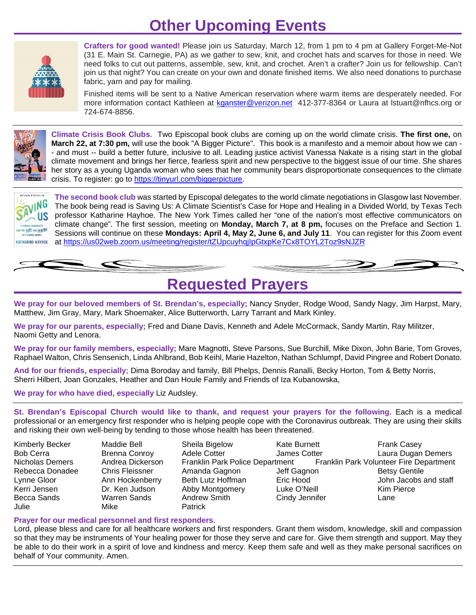## **Other Upcoming Events**



**Crafters for good wanted!** Please join us Saturday, March 12, from 1 pm to 4 pm at Gallery Forget-Me-Not (31 E. Main St. Carnegie, PA) as we gather to sew, knit, and crochet hats and scarves for those in need. We need folks to cut out patterns, assemble, sew, knit, and crochet. Aren't a crafter? Join us for fellowship. Can't join us that night? You can create on your own and donate finished items. We also need donations to purchase fabric, yarn and pay for mailing.

Finished items will be sent to a Native American reservation where warm items are desperately needed. For more information contact Kathleen at [kganster@verizon.net](mailto:kganster@verizon.net) 412-377-8364 or Laura at Istuart@nfhcs.org or 724-674-8856.



**Climate Crisis Book Clubs.** Two Episcopal book clubs are coming up on the world climate crisis. **The first one,** on **March 22, at 7:30 pm,** will use the book "A Bigger Picture". This book is a manifesto and a memoir about how we can - - and must -- build a better future, inclusive to all. Leading justice activist Vanessa Nakate is a rising start in the global climate movement and brings her fierce, fearless spirit and new perspective to the biggest issue of our time. She shares her story as a young Uganda woman who sees that her community bears disproportionate consequences to the climate crisis. To register: go to [https://tinyurl.com/biggerpicture.](https://tinyurl.com/biggerpicture)



**The second book club** was started by Episcopal delegates to the world climate negotiations in Glasgow last November. The book being read is Saving Us: A Climate Scientist's Case for Hope and Healing in a Divided World, by Texas Tech professor Katharine Hayhoe. The New York Times called her "one of the nation's most effective communicators on climate change". The first session, meeting on **Monday, March 7, at 8 pm,** focuses on the Preface and Section 1. Sessions will continue on these **Mondays: April 4, May 2, June 6, and July 11**. You can register for this Zoom event at <https://us02web.zoom.us/meeting/register/tZUpcuyhqjIpGtxpKe7Cx8TOYL2Toz9sNJZR>



**Requested Prayers**

**We pray for our beloved members of St. Brendan's, especially;** Nancy Snyder, Rodge Wood, Sandy Nagy, Jim Harpst, Mary, Matthew, Jim Gray, Mary, Mark Shoemaker, Alice Butterworth, Larry Tarrant and Mark Kinley.

**We pray for our parents, especially;** Fred and Diane Davis, Kenneth and Adele McCormack, Sandy Martin, Ray Militzer, Naomi Getty and Lenora.

**We pray for our family members, especially;** Mare Magnotti, Steve Parsons, Sue Burchill, Mike Dixon, John Barie, Tom Groves, Raphael Walton, Chris Sensenich, Linda Ahlbrand, Bob Keihl, Marie Hazelton, Nathan Schlumpf, David Pingree and Robert Donato.

**And for our friends, especially;** Dima Boroday and family, Bill Phelps, Dennis Ranalli, Becky Horton, Tom & Betty Norris, Sherri Hilbert, Joan Gonzales, Heather and Dan Houle Family and Friends of Iza Kubanowska,

**We pray for who have died, especially** Liz Audsley.

**St. Brendan's Episcopal Church would like to thank, and request your prayers for the following.** Each is a medical professional or an emergency first responder who is helping people cope with the Coronavirus outbreak. They are using their skills and risking their own well-being by tending to those whose health has been threatened.

- Julie Mike Patrick
- 
- Kimberly Becker Maddie Bell Sheila Bigelow Kate Burnett Frank Casey
- Bob Cerra Brenna Conroy Adele Cotter James Cotter Laura Dugan Demers<br>Nicholas Demers Andrea Dickerson Franklin Park Police Department Franklin P Rebecca Donadee Chris Fleissner Amanda Gagnon Jeff Gagnon Betsy Gentile<br>1998 - Ann Hockenberry Beth Lutz Hoffman Bric Hood Lynne Gloor Ann Hockenberry Beth Lutz Hoffman Eric Hood John Jacobs and staff Kerri Jensen Dr. Ken Judson Abby Montgomery Luke O'Neill Kim Pierce Becca Sands **Marren Sands** Andrew Smith **Cindy Jennifer** Lane
- Franklin Park Volunteer Fire Department

### **Prayer for our medical personnel and first responders.**

Lord, please bless and care for all healthcare workers and first responders. Grant them wisdom, knowledge, skill and compassion so that they may be instruments of Your healing power for those they serve and care for. Give them strength and support. May they be able to do their work in a spirit of love and kindness and mercy. Keep them safe and well as they make personal sacrifices on behalf of Your community. Amen.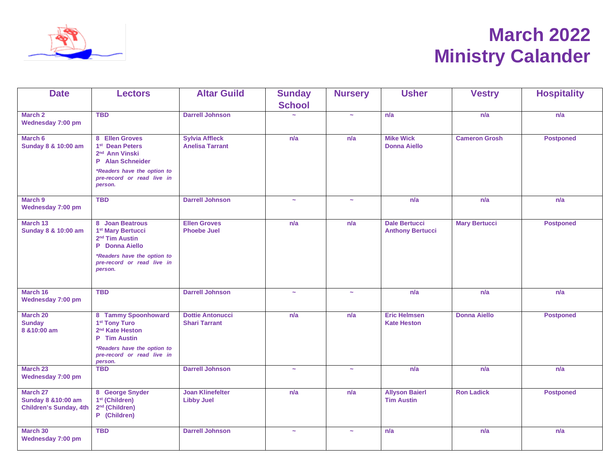

# **March 2022 Ministry Calander**

| <b>Date</b>                                                                 | <b>Lectors</b>                                                                                                                                               | <b>Altar Guild</b>                              | <b>Sunday</b>         | <b>Nursery</b>        | <b>Usher</b>                                    | <b>Vestry</b>        | <b>Hospitality</b> |
|-----------------------------------------------------------------------------|--------------------------------------------------------------------------------------------------------------------------------------------------------------|-------------------------------------------------|-----------------------|-----------------------|-------------------------------------------------|----------------------|--------------------|
|                                                                             |                                                                                                                                                              |                                                 | <b>School</b>         |                       |                                                 |                      |                    |
| March 2<br>Wednesday 7:00 pm                                                | <b>TBD</b>                                                                                                                                                   | <b>Darrell Johnson</b>                          |                       | $\sim$                | n/a                                             | n/a                  | n/a                |
| March 6<br>Sunday 8 & 10:00 am                                              | 8 Ellen Groves<br>1 <sup>st</sup> Dean Peters<br>2 <sup>nd</sup> Ann Vinski<br>P Alan Schneider<br>*Readers have the option to<br>pre-record or read live in | <b>Sylvia Affleck</b><br><b>Anelisa Tarrant</b> | n/a                   | n/a                   | <b>Mike Wick</b><br><b>Donna Aiello</b>         | <b>Cameron Grosh</b> | <b>Postponed</b>   |
|                                                                             | person.                                                                                                                                                      |                                                 |                       |                       |                                                 |                      |                    |
| March 9<br>Wednesday 7:00 pm                                                | <b>TBD</b>                                                                                                                                                   | <b>Darrell Johnson</b>                          | $\sim$                | $\tilde{\phantom{a}}$ | n/a                                             | n/a                  | n/a                |
| March 13<br>Sunday 8 & 10:00 am                                             | 8 Joan Beatrous<br>1 <sup>st</sup> Mary Bertucci<br>2 <sup>nd</sup> Tim Austin<br>P Donna Aiello                                                             | <b>Ellen Groves</b><br><b>Phoebe Juel</b>       | n/a                   | n/a                   | <b>Dale Bertucci</b><br><b>Anthony Bertucci</b> | <b>Mary Bertucci</b> | <b>Postponed</b>   |
|                                                                             | *Readers have the option to<br>pre-record or read live in<br>person.                                                                                         |                                                 |                       |                       |                                                 |                      |                    |
| March 16<br>Wednesday 7:00 pm                                               | <b>TBD</b>                                                                                                                                                   | <b>Darrell Johnson</b>                          | $\tilde{\phantom{a}}$ | $\tilde{\phantom{a}}$ | n/a                                             | n/a                  | n/a                |
| March 20<br><b>Sunday</b><br>8 & 10:00 am                                   | 8 Tammy Spoonhoward<br>1 <sup>st</sup> Tony Turo<br>2 <sup>nd</sup> Kate Heston<br>P Tim Austin                                                              | <b>Dottie Antonucci</b><br><b>Shari Tarrant</b> | n/a                   | n/a                   | <b>Eric Helmsen</b><br><b>Kate Heston</b>       | <b>Donna Aiello</b>  | <b>Postponed</b>   |
|                                                                             | *Readers have the option to<br>pre-record or read live in<br>person.                                                                                         |                                                 |                       |                       |                                                 |                      |                    |
| March 23<br>Wednesday 7:00 pm                                               | <b>TBD</b>                                                                                                                                                   | <b>Darrell Johnson</b>                          | $\sim$                | $\sim$                | n/a                                             | n/a                  | n/a                |
| March 27<br><b>Sunday 8 &amp; 10:00 am</b><br><b>Children's Sunday, 4th</b> | 8 George Snyder<br>1 <sup>st</sup> (Children)<br>2 <sup>nd</sup> (Children)<br>P (Children)                                                                  | <b>Joan Klinefelter</b><br><b>Libby Juel</b>    | n/a                   | n/a                   | <b>Allyson Baierl</b><br><b>Tim Austin</b>      | <b>Ron Ladick</b>    | <b>Postponed</b>   |
| March 30<br>Wednesday 7:00 pm                                               | <b>TBD</b>                                                                                                                                                   | <b>Darrell Johnson</b>                          | $\sim$                | $\sim$                | n/a                                             | n/a                  | n/a                |